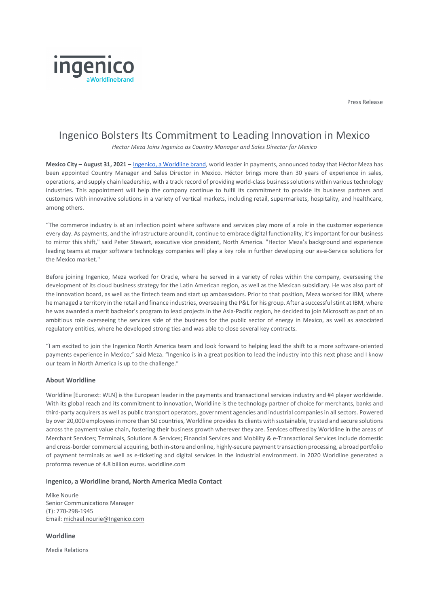Press Release



## Ingenico Bolsters Its Commitment to Leading Innovation in Mexico

*Hector Meza Joins Ingenico as Country Manager and Sales Director for Mexico* 

**Mexico City – August 31, 2021** – [Ingenico, a Worldline brand,](https://www.ingenico.us/) world leader in payments, announced today that Héctor Meza has been appointed Country Manager and Sales Director in Mexico. Héctor brings more than 30 years of experience in sales, operations, and supply chain leadership, with a track record of providing world-class business solutions within various technology industries. This appointment will help the company continue to fulfil its commitment to provide its business partners and customers with innovative solutions in a variety of vertical markets, including retail, supermarkets, hospitality, and healthcare, among others.

"The commerce industry is at an inflection point where software and services play more of a role in the customer experience every day. As payments, and the infrastructure around it, continue to embrace digital functionality, it's important for our business to mirror this shift," said Peter Stewart, executive vice president, North America. "Hector Meza's background and experience leading teams at major software technology companies will play a key role in further developing our as-a-Service solutions for the Mexico market."

Before joining Ingenico, Meza worked for Oracle, where he served in a variety of roles within the company, overseeing the development of its cloud business strategy for the Latin American region, as well as the Mexican subsidiary. He was also part of the innovation board, as well as the fintech team and start up ambassadors. Prior to that position, Meza worked for IBM, where he managed a territory in the retail and finance industries, overseeing the P&L for his group. After a successful stint at IBM, where he was awarded a merit bachelor's program to lead projects in the Asia-Pacific region, he decided to join Microsoft as part of an ambitious role overseeing the services side of the business for the public sector of energy in Mexico, as well as associated regulatory entities, where he developed strong ties and was able to close several key contracts.

"I am excited to join the Ingenico North America team and look forward to helping lead the shift to a more software-oriented payments experience in Mexico," said Meza. "Ingenico is in a great position to lead the industry into this next phase and I know our team in North America is up to the challenge."

## **About Worldline**

Worldline [Euronext: WLN] is the European leader in the payments and transactional services industry and #4 player worldwide. With its global reach and its commitment to innovation, Worldline is the technology partner of choice for merchants, banks and third-party acquirers as well as public transport operators, government agencies and industrial companies in all sectors. Powered by over 20,000 employees in more than 50 countries, Worldline provides its clients with sustainable, trusted and secure solutions across the payment value chain, fostering their business growth wherever they are. Services offered by Worldline in the areas of Merchant Services; Terminals, Solutions & Services; Financial Services and Mobility & e-Transactional Services include domestic and cross-border commercial acquiring, both in-store and online, highly-secure payment transaction processing, a broad portfolio of payment terminals as well as e-ticketing and digital services in the industrial environment. In 2020 Worldline generated a proforma revenue of 4.8 billion euros. worldline.com

## **Ingenico, a Worldline brand, North America Media Contact**

Mike Nourie Senior Communications Manager (T): 770-298-1945 Email: [michael.nourie@Ingenico.com](mailto:michael.nourie@Ingenico.com)

**Worldline**

Media Relations